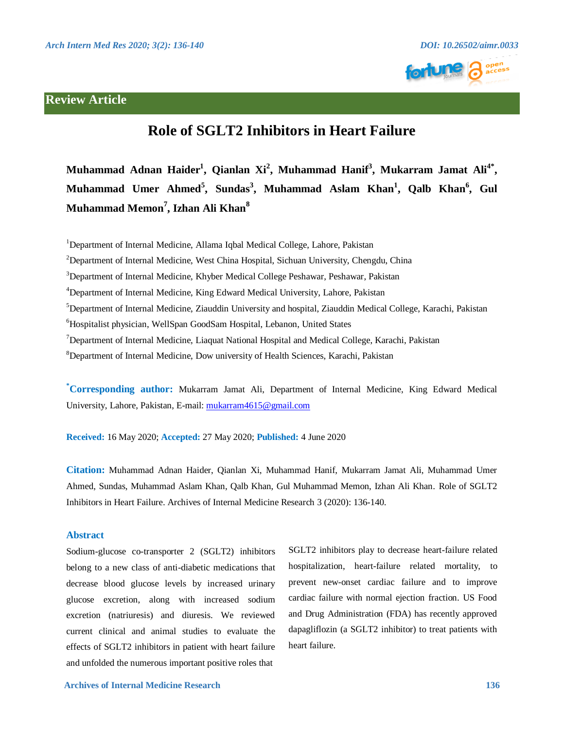# **Review Article**





# **Role of SGLT2 Inhibitors in Heart Failure**

**Muhammad Adnan Haider1 , Qianlan Xi<sup>2</sup> , Muhammad Hanif3 , Mukarram Jamat Ali4\*,**   $Muhammad$  Umer Ahmed<sup>5</sup>, Sundas<sup>3</sup>, Muhammad Aslam Khan<sup>1</sup>, Qalb Khan<sup>6</sup>, Gul **Muhammad Memon<sup>7</sup> , Izhan Ali Khan<sup>8</sup>**

<sup>1</sup>Department of Internal Medicine, Allama Iqbal Medical College, Lahore, Pakistan

<sup>2</sup>Department of Internal Medicine, West China Hospital, Sichuan University, Chengdu, China

<sup>3</sup>Department of Internal Medicine, Khyber Medical College Peshawar, Peshawar, Pakistan

<sup>4</sup>Department of Internal Medicine, King Edward Medical University, Lahore, Pakistan

5 Department of Internal Medicine, Ziauddin University and hospital, Ziauddin Medical College, Karachi, Pakistan

6 Hospitalist physician, WellSpan GoodSam Hospital, Lebanon, United States

<sup>7</sup>Department of Internal Medicine, Liaquat National Hospital and Medical College, Karachi, Pakistan

8 Department of Internal Medicine, Dow university of Health Sciences, Karachi, Pakistan

**\* Corresponding author:** Mukarram Jamat Ali, Department of Internal Medicine, King Edward Medical University, Lahore, Pakistan, E-mail: mukarram4615@gmail.com

**Received:** 16 May 2020; **Accepted:** 27 May 2020; **Published:** 4 June 2020

**Citation:** Muhammad Adnan Haider, Qianlan Xi, Muhammad Hanif, Mukarram Jamat Ali, Muhammad Umer Ahmed, Sundas, Muhammad Aslam Khan, Qalb Khan, Gul Muhammad Memon, Izhan Ali Khan. Role of SGLT2 Inhibitors in Heart Failure. Archives of Internal Medicine Research 3 (2020): 136-140.

# **Abstract**

Sodium-glucose co-transporter 2 (SGLT2) inhibitors belong to a new class of anti-diabetic medications that decrease blood glucose levels by increased urinary glucose excretion, along with increased sodium excretion (natriuresis) and diuresis. We reviewed current clinical and animal studies to evaluate the effects of SGLT2 inhibitors in patient with heart failure and unfolded the numerous important positive roles that

SGLT2 inhibitors play to decrease heart-failure related hospitalization, heart-failure related mortality, to prevent new-onset cardiac failure and to improve cardiac failure with normal ejection fraction. US Food and Drug Administration (FDA) has recently approved dapagliflozin (a SGLT2 inhibitor) to treat patients with heart failure.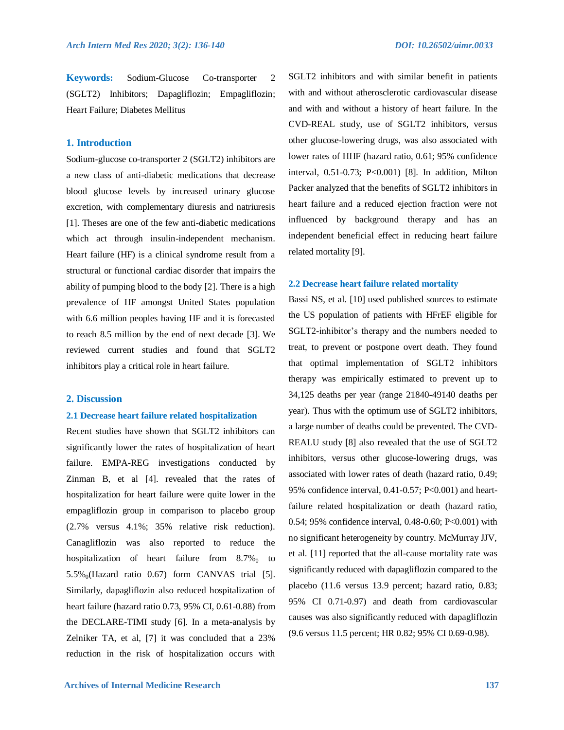**Keywords:** Sodium-Glucose Co-transporter 2 (SGLT2) Inhibitors; Dapagliflozin; Empagliflozin; Heart Failure; Diabetes Mellitus

# **1. Introduction**

Sodium-glucose co-transporter 2 (SGLT2) inhibitors are a new class of anti-diabetic medications that decrease blood glucose levels by increased urinary glucose excretion, with complementary diuresis and natriuresis [1]. Theses are one of the few anti-diabetic medications which act through insulin-independent mechanism. Heart failure (HF) is a clinical syndrome result from a structural or functional cardiac disorder that impairs the ability of pumping blood to the body [2]. There is a high prevalence of HF amongst United States population with 6.6 million peoples having HF and it is forecasted to reach 8.5 million by the end of next decade [3]. We reviewed current studies and found that SGLT2 inhibitors play a critical role in heart failure.

#### **2. Discussion**

#### **2.1 Decrease heart failure related hospitalization**

Recent studies have shown that SGLT2 inhibitors can significantly lower the rates of hospitalization of heart failure. EMPA-REG investigations conducted by Zinman B, et al [4]. revealed that the rates of hospitalization for heart failure were quite lower in the empagliflozin group in comparison to placebo group (2.7% versus 4.1%; 35% relative risk reduction). Canagliflozin was also reported to reduce the hospitalization of heart failure from  $8.7\%$  to  $5.5\%$ <sub>0</sub>(Hazard ratio 0.67) form CANVAS trial [5]. Similarly, dapagliflozin also reduced hospitalization of heart failure (hazard ratio 0.73, 95% CI, 0.61-0.88) from the DECLARE-TIMI study [6]. In a meta-analysis by Zelniker TA, et al, [7] it was concluded that a 23% reduction in the risk of hospitalization occurs with SGLT2 inhibitors and with similar benefit in patients with and without atherosclerotic cardiovascular disease and with and without a history of heart failure. In the CVD-REAL study, use of SGLT2 inhibitors, versus other glucose-lowering drugs, was also associated with lower rates of HHF (hazard ratio, 0.61; 95% confidence interval, 0.51-0.73; P<0.001) [8]. In addition, Milton Packer analyzed that the benefits of SGLT2 inhibitors in heart failure and a reduced ejection fraction were not influenced by background therapy and has an independent beneficial effect in reducing heart failure related mortality [9].

# **2.2 Decrease heart failure related mortality**

Bassi NS, et al. [10] used published sources to estimate the US population of patients with HFrEF eligible for SGLT2-inhibitor's therapy and the numbers needed to treat, to prevent or postpone overt death. They found that optimal implementation of SGLT2 inhibitors therapy was empirically estimated to prevent up to 34,125 deaths per year (range 21840-49140 deaths per year). Thus with the optimum use of SGLT2 inhibitors, a large number of deaths could be prevented. The CVD-REALU study [8] also revealed that the use of SGLT2 inhibitors, versus other glucose-lowering drugs, was associated with lower rates of death (hazard ratio, 0.49; 95% confidence interval, 0.41-0.57; P<0.001) and heartfailure related hospitalization or death (hazard ratio, 0.54; 95% confidence interval, 0.48-0.60; P<0.001) with no significant heterogeneity by country. McMurray JJV, et al. [11] reported that the all-cause mortality rate was significantly reduced with dapagliflozin compared to the placebo (11.6 versus 13.9 percent; hazard ratio, 0.83; 95% CI 0.71-0.97) and death from cardiovascular causes was also significantly reduced with dapagliflozin (9.6 versus 11.5 percent; HR 0.82; 95% CI 0.69-0.98).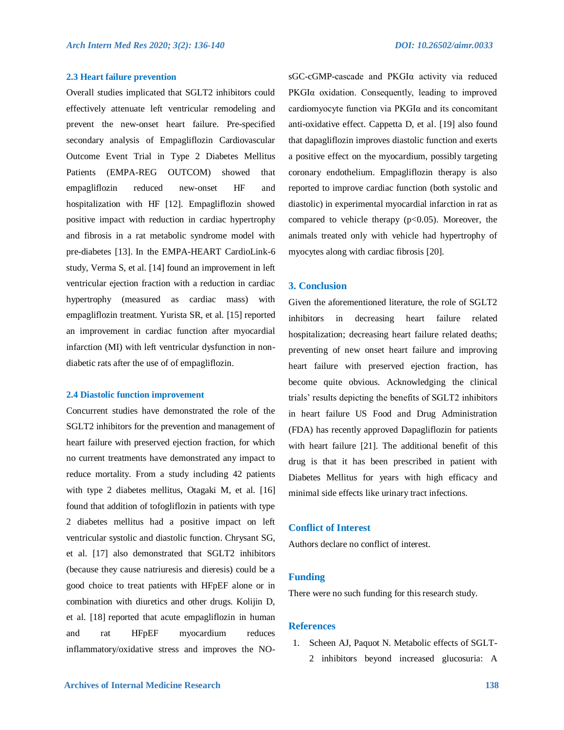#### **2.3 Heart failure prevention**

Overall studies implicated that SGLT2 inhibitors could effectively attenuate left ventricular remodeling and prevent the new-onset heart failure. Pre-specified secondary analysis of Empagliflozin Cardiovascular Outcome Event Trial in Type 2 Diabetes Mellitus Patients (EMPA-REG OUTCOM) showed that empagliflozin reduced new-onset HF and hospitalization with HF [12]. Empagliflozin showed positive impact with reduction in cardiac hypertrophy and fibrosis in a rat metabolic syndrome model with pre-diabetes [13]. In the EMPA-HEART CardioLink-6 study, Verma S, et al. [14] found an improvement in left ventricular ejection fraction with a reduction in cardiac hypertrophy (measured as cardiac mass) with empagliflozin treatment. Yurista SR, et al. [15] reported an improvement in cardiac function after myocardial infarction (MI) with left ventricular dysfunction in nondiabetic rats after the use of of empagliflozin.

#### **2.4 Diastolic function improvement**

Concurrent studies have demonstrated the role of the SGLT2 inhibitors for the prevention and management of heart failure with preserved ejection fraction, for which no current treatments have demonstrated any impact to reduce mortality. From a study including 42 patients with type 2 diabetes mellitus, Otagaki M, et al. [16] found that addition of tofogliflozin in patients with type 2 diabetes mellitus had a positive impact on left ventricular systolic and diastolic function. Chrysant SG, et al. [17] also demonstrated that SGLT2 inhibitors (because they cause natriuresis and dieresis) could be a good choice to treat patients with HFpEF alone or in combination with diuretics and other drugs. Kolijin D, et al. [18] reported that acute empagliflozin in human and rat HFpEF myocardium reduces inflammatory/oxidative stress and improves the NO-

sGC-cGMP-cascade and PKGIα activity via reduced PKGIα oxidation. Consequently, leading to improved cardiomyocyte function via PKGIα and its concomitant anti-oxidative effect. Cappetta D, et al. [19] also found that dapagliflozin improves diastolic function and exerts a positive effect on the myocardium, possibly targeting coronary endothelium. Empagliflozin therapy is also reported to improve cardiac function (both systolic and diastolic) in experimental myocardial infarction in rat as compared to vehicle therapy  $(p<0.05)$ . Moreover, the animals treated only with vehicle had hypertrophy of myocytes along with cardiac fibrosis [20].

# **3. Conclusion**

Given the aforementioned literature, the role of SGLT2 inhibitors in decreasing heart failure related hospitalization; decreasing heart failure related deaths; preventing of new onset heart failure and improving heart failure with preserved ejection fraction, has become quite obvious. Acknowledging the clinical trials' results depicting the benefits of SGLT2 inhibitors in heart failure US Food and Drug Administration (FDA) has recently approved Dapagliflozin for patients with heart failure [21]. The additional benefit of this drug is that it has been prescribed in patient with Diabetes Mellitus for years with high efficacy and minimal side effects like urinary tract infections.

# **Conflict of Interest**

Authors declare no conflict of interest.

# **Funding**

There were no such funding for this research study.

#### **References**

- 1. Scheen AJ, Paquot N. Metabolic effects of SGLT-
	- 2 inhibitors beyond increased glucosuria: A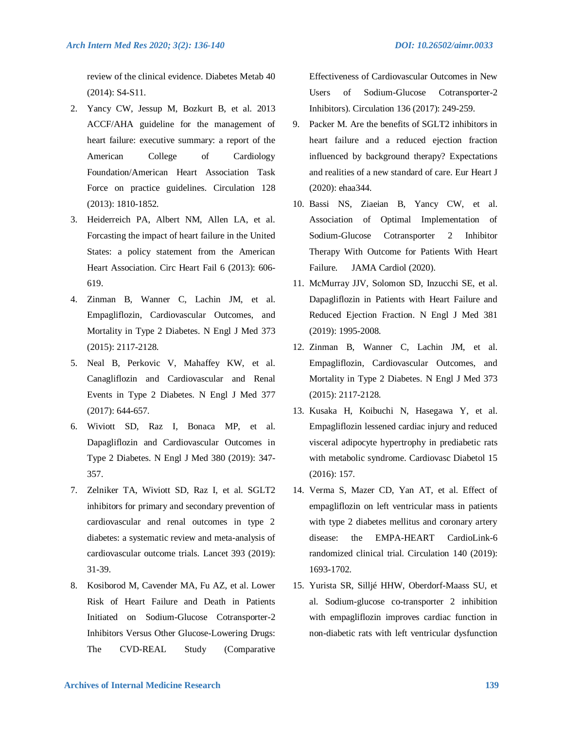review of the clinical evidence. Diabetes Metab 40 (2014): S4-S11.

- 2. Yancy CW, Jessup M, Bozkurt B, et al. 2013 ACCF/AHA guideline for the management of heart failure: executive summary: a report of the American College of Cardiology Foundation/American Heart Association Task Force on practice guidelines. Circulation 128 (2013): 1810-1852.
- 3. Heiderreich PA, Albert NM, Allen LA, et al. Forcasting the impact of heart failure in the United States: a policy statement from the American Heart Association. Circ Heart Fail 6 (2013): 606- 619.
- 4. Zinman B, Wanner C, Lachin JM, et al. Empagliflozin, Cardiovascular Outcomes, and Mortality in Type 2 Diabetes. N Engl J Med 373 (2015): 2117-2128.
- 5. Neal B, Perkovic V, Mahaffey KW, et al. Canagliflozin and Cardiovascular and Renal Events in Type 2 Diabetes. N Engl J Med 377 (2017): 644-657.
- 6. Wiviott SD, Raz I, Bonaca MP, et al. Dapagliflozin and Cardiovascular Outcomes in Type 2 Diabetes. N Engl J Med 380 (2019): 347- 357.
- 7. Zelniker TA, Wiviott SD, Raz I, et al. SGLT2 inhibitors for primary and secondary prevention of cardiovascular and renal outcomes in type 2 diabetes: a systematic review and meta-analysis of cardiovascular outcome trials. Lancet 393 (2019): 31-39.
- 8. Kosiborod M, Cavender MA, Fu AZ, et al. Lower Risk of Heart Failure and Death in Patients Initiated on Sodium-Glucose Cotransporter-2 Inhibitors Versus Other Glucose-Lowering Drugs: The CVD-REAL Study (Comparative

Effectiveness of Cardiovascular Outcomes in New Users of Sodium-Glucose Cotransporter-2 Inhibitors). Circulation 136 (2017): 249-259.

- 9. Packer M. Are the benefits of SGLT2 inhibitors in heart failure and a reduced ejection fraction influenced by background therapy? Expectations and realities of a new standard of care. Eur Heart J (2020): ehaa344.
- 10. Bassi NS, Ziaeian B, Yancy CW, et al. Association of Optimal Implementation of Sodium-Glucose Cotransporter 2 Inhibitor Therapy With Outcome for Patients With Heart Failure. JAMA Cardiol (2020).
- 11. McMurray JJV, Solomon SD, Inzucchi SE, et al. Dapagliflozin in Patients with Heart Failure and Reduced Ejection Fraction. N Engl J Med 381 (2019): 1995-2008.
- 12. Zinman B, Wanner C, Lachin JM, et al. Empagliflozin, Cardiovascular Outcomes, and Mortality in Type 2 Diabetes. N Engl J Med 373 (2015): 2117-2128.
- 13. Kusaka H, Koibuchi N, Hasegawa Y, et al. Empagliflozin lessened cardiac injury and reduced visceral adipocyte hypertrophy in prediabetic rats with metabolic syndrome. Cardiovasc Diabetol 15 (2016): 157.
- 14. Verma S, Mazer CD, Yan AT, et al. Effect of empagliflozin on left ventricular mass in patients with type 2 diabetes mellitus and coronary artery disease: the EMPA-HEART CardioLink-6 randomized clinical trial. Circulation 140 (2019): 1693-1702.
- 15. Yurista SR, Silljé HHW, Oberdorf-Maass SU, et al. Sodium-glucose co-transporter 2 inhibition with empagliflozin improves cardiac function in non-diabetic rats with left ventricular dysfunction